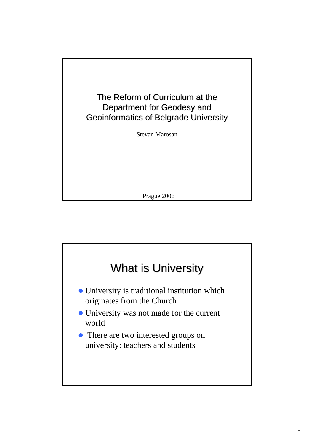

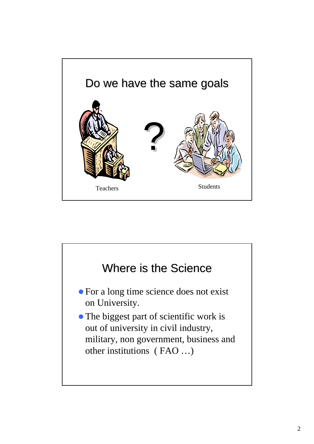

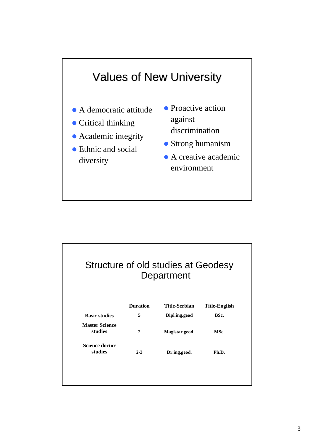

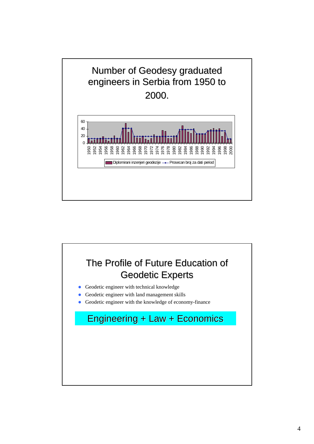

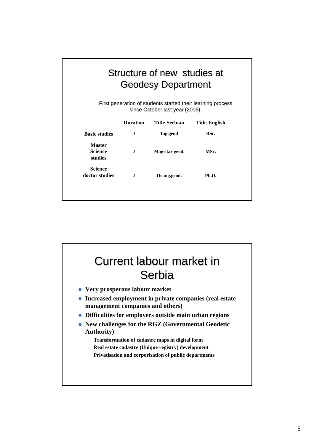| Structure of new studies at<br><b>Geodesy Department</b><br>First generation of students started their learning process<br>since October last year (2005). |                 |                      |                      |
|------------------------------------------------------------------------------------------------------------------------------------------------------------|-----------------|----------------------|----------------------|
|                                                                                                                                                            | <b>Duration</b> | <b>Title-Serbian</b> | <b>Title-English</b> |
| <b>Basic studies</b>                                                                                                                                       | 3               | Ing.geod             | BSc.                 |
| <b>Master</b><br><b>Science</b><br>studies                                                                                                                 | 2               | Magistar geod.       | MSc.                 |
| <b>Science</b><br>doctor studies                                                                                                                           | 2               | Dr.ing.geod.         | Ph.D.                |
|                                                                                                                                                            |                 |                      |                      |